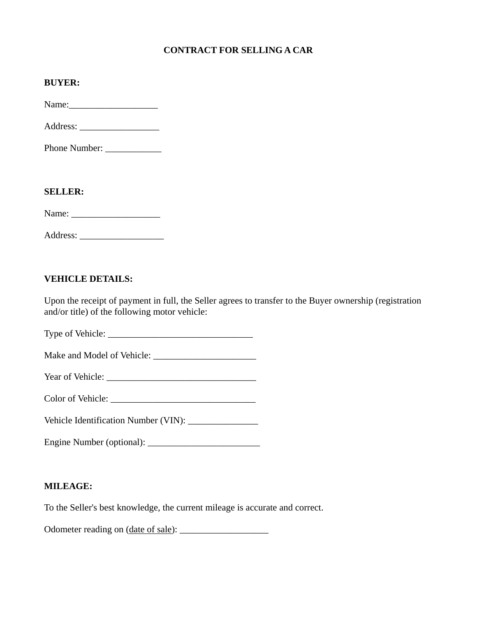## **CONTRACT FOR SELLING A CAR**

Name:\_\_\_\_\_\_\_\_\_\_\_\_\_\_\_\_\_\_\_

Address: \_\_\_\_\_\_\_\_\_\_\_\_\_\_\_\_\_

Phone Number: \_\_\_\_\_\_\_\_\_\_\_\_

#### **SELLER:**

Name: \_\_\_\_\_\_\_\_\_\_\_\_\_\_\_\_\_\_\_

### **VEHICLE DETAILS:**

Upon the receipt of payment in full, the Seller agrees to transfer to the Buyer ownership (registration and/or title) of the following motor vehicle:

Type of Vehicle: \_\_\_\_\_\_\_\_\_\_\_\_\_\_\_\_\_\_\_\_\_\_\_\_\_\_\_\_\_\_\_

Make and Model of Vehicle: \_\_\_\_\_\_\_\_\_\_\_\_\_\_\_\_\_\_\_\_\_\_

Year of Vehicle: \_\_\_\_\_\_\_\_\_\_\_\_\_\_\_\_\_\_\_\_\_\_\_\_\_\_\_\_\_\_\_\_

Color of Vehicle:

Vehicle Identification Number (VIN): \_\_\_\_\_\_\_\_\_\_\_\_\_\_\_

Engine Number (optional): \_\_\_\_\_\_\_\_\_\_\_\_\_\_\_\_\_\_\_\_\_\_\_\_

### **MILEAGE:**

To the Seller's best knowledge, the current mileage is accurate and correct.

Odometer reading on (date of sale): \_\_\_\_\_\_\_\_\_\_\_\_\_\_\_\_\_\_\_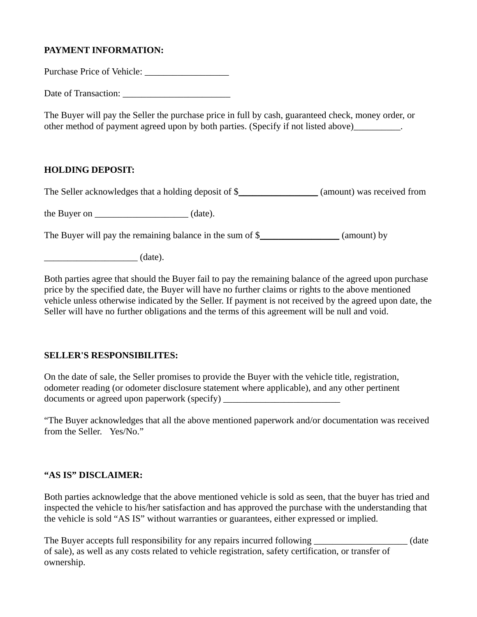## **PAYMENT INFORMATION:**

Purchase Price of Vehicle: \_\_\_\_\_\_\_\_\_\_\_\_\_\_\_\_\_\_

Date of Transaction:

The Buyer will pay the Seller the purchase price in full by cash, guaranteed check, money order, or other method of payment agreed upon by both parties. (Specify if not listed above)\_\_\_\_\_\_\_\_\_.

### **HOLDING DEPOSIT:**

The Seller acknowledges that a holding deposit of \$\_\_\_\_\_\_\_\_\_\_\_\_\_\_\_\_ (amount) was received from

the Buyer on  $(date).$ 

The Buyer will pay the remaining balance in the sum of \$\_\_\_\_\_\_\_\_\_\_\_\_\_\_\_\_\_\_\_ (amount) by

\_\_\_\_\_\_\_\_\_\_\_\_\_\_\_\_\_\_\_\_ (date).

Both parties agree that should the Buyer fail to pay the remaining balance of the agreed upon purchase price by the specified date, the Buyer will have no further claims or rights to the above mentioned vehicle unless otherwise indicated by the Seller. If payment is not received by the agreed upon date, the Seller will have no further obligations and the terms of this agreement will be null and void.

### **SELLER'S RESPONSIBILITES:**

On the date of sale, the Seller promises to provide the Buyer with the vehicle title, registration, odometer reading (or odometer disclosure statement where applicable), and any other pertinent documents or agreed upon paperwork (specify)

"The Buyer acknowledges that all the above mentioned paperwork and/or documentation was received from the Seller. Yes/No."

#### **"AS IS" DISCLAIMER:**

Both parties acknowledge that the above mentioned vehicle is sold as seen, that the buyer has tried and inspected the vehicle to his/her satisfaction and has approved the purchase with the understanding that the vehicle is sold "AS IS" without warranties or guarantees, either expressed or implied.

The Buyer accepts full responsibility for any repairs incurred following (date of sale), as well as any costs related to vehicle registration, safety certification, or transfer of ownership.